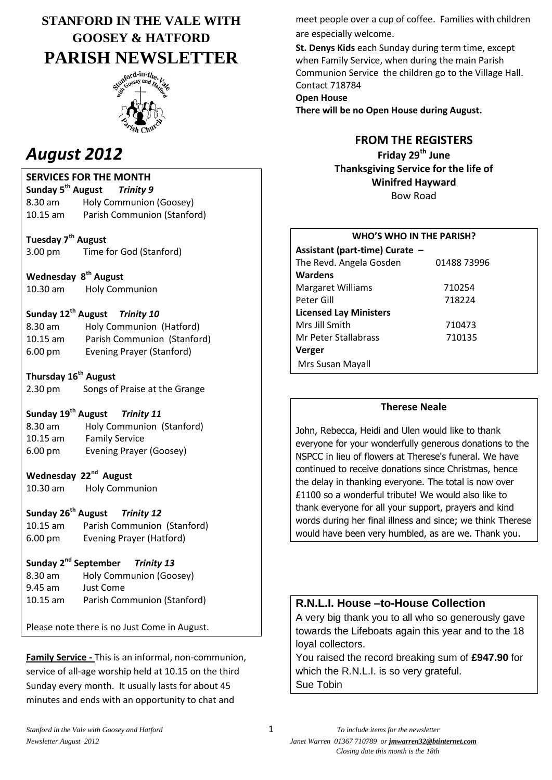# **STANFORD IN THE VALE WITH GOOSEY & HATFORD PARISH NEWSLETTER**



# *August 2012*

# **SERVICES FOR THE MONTH Sunday 5 th August** *Trinity 9* 8.30 am Holy Communion (Goosey) 10.15 am Parish Communion (Stanford) **Tuesday 7th August** 3.00 pm Time for God (Stanford) **Wednesday 8<sup>th</sup> August**<br>10.30 am **Holy Com Holy Communion Sunday 12th August** *Trinity 10* 8.30 am Holy Communion (Hatford) 10.15 am Parish Communion (Stanford) 6.00 pm Evening Prayer (Stanford) **Thursday 16th August** 2.30 pm Songs of Praise at the Grange **Sunday 19th August** *Trinity 11* 8.30 am Holy Communion (Stanford) 10.15 am Family Service 6.00 pm Evening Prayer (Goosey) **Wednesday 22nd August** 10.30 am Holy Communion **Sunday 26th August** *Trinity 12* 10.15 am Parish Communion (Stanford) 6.00 pm Evening Prayer (Hatford) **Sunday 2 nd September** *Trinity 13* 8.30 am Holy Communion (Goosey) 9.45 am Just Come 10.15 am Parish Communion (Stanford) Please note there is no Just Come in August.

**Family Service -** This is an informal, non-communion, service of all-age worship held at 10.15 on the third Sunday every month. It usually lasts for about 45 minutes and ends with an opportunity to chat and

meet people over a cup of coffee. Families with children are especially welcome.

**St. Denys Kids** each Sunday during term time, except when Family Service, when during the main Parish Communion Service the children go to the Village Hall. Contact 718784

**Open House There will be no Open House during August.**

## **FROM THE REGISTERS**

**Friday 29th June Thanksgiving Service for the life of Winifred Hayward** Bow Road

## **WHO'S WHO IN THE PARISH?**

**Assistant (part-time) Curate –** The Revd. Angela Gosden 01488 73996 **Wardens** Margaret Williams 710254 Peter Gill 718224 **Licensed Lay Ministers** Mrs Jill Smith 710473 Mr Peter Stallabrass 710135 **Verger**  Mrs Susan Mayall

#### **Therese Neale**

John, Rebecca, Heidi and Ulen would like to thank everyone for your wonderfully generous donations to the NSPCC in lieu of flowers at Therese's funeral. We have continued to receive donations since Christmas, hence the delay in thanking everyone. The total is now over £1100 so a wonderful tribute! We would also like to thank everyone for all your support, prayers and kind words during her final illness and since; we think Therese would have been very humbled, as are we. Thank you.

## **R.N.L.I. House –to-House Collection**

A very big thank you to all who so generously gave towards the Lifeboats again this year and to the 18 loyal collectors.

You raised the record breaking sum of **£947.90** for which the R.N.L.I. is so very grateful. Sue Tobin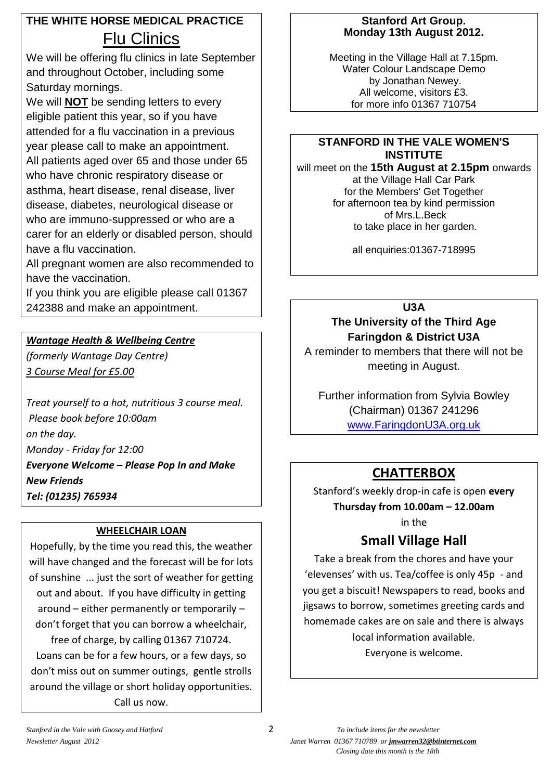# **THE WHITE HORSE MEDICAL PRACTICE** Flu Clinics

We will be offering flu clinics in late September and throughout October, including some Saturday mornings.

We will **NOT** be sending letters to every eligible patient this year, so if you have attended for a flu vaccination in a previous year please call to make an appointment. All patients aged over 65 and those under 65 who have chronic respiratory disease or asthma, heart disease, renal disease, liver disease, diabetes, neurological disease or who are immuno-suppressed or who are a carer for an elderly or disabled person, should have a flu vaccination.

All pregnant women are also recommended to have the vaccination.

If you think you are eligible please call 01367 242388 and make an appointment.

## *Wantage Health & Wellbeing Centre*

*(formerly Wantage Day Centre) 3 Course Meal for £5.00*

*Treat yourself to a hot, nutritious 3 course meal. Please book before 10:00am on the day. Monday - Friday for 12:00 Everyone Welcome – Please Pop In and Make New Friends Tel: (01235) 765934*

## **WHEELCHAIR LOAN**

Hopefully, by the time you read this, the weather will have changed and the forecast will be for lots of sunshine ... just the sort of weather for getting out and about. If you have difficulty in getting around – either permanently or temporarily – don't forget that you can borrow a wheelchair, free of charge, by calling 01367 710724. Loans can be for a few hours, or a few days, so don't miss out on summer outings, gentle strolls around the village or short holiday opportunities. Call us now.

**Stanford Art Group. Monday 13th August 2012.**

Meeting in the Village Hall at 7.15pm. Water Colour Landscape Demo by Jonathan Newey. All welcome, visitors £3. for more info 01367 710754

## **STANFORD IN THE VALE WOMEN'S INSTITUTE**

will meet on the **15th August at 2.15pm** onwards at the Village Hall Car Park for the Members' Get Together for afternoon tea by kind permission of Mrs.L.Beck to take place in her garden.

all enquiries:01367-718995

**U3A The University of the Third Age Faringdon & District U3A** A reminder to members that there will not be meeting in August.

Further information from Sylvia Bowley (Chairman) 01367 241296 [www.FaringdonU3A.org.uk](http://www.faringdonu3a.org.uk/)

# **CHATTERBOX**

Stanford's weekly drop-in cafe is open **every Thursday from 10.00am – 12.00am**

in the

# **Small Village Hall**

Take a break from the chores and have your 'elevenses' with us. Tea/coffee is only 45p - and you get a biscuit! Newspapers to read, books and jigsaws to borrow, sometimes greeting cards and homemade cakes are on sale and there is always local information available. Everyone is welcome.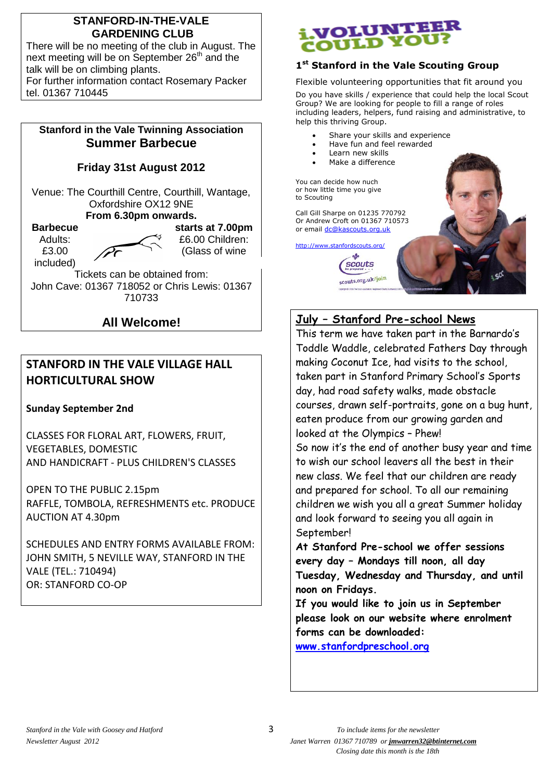#### **STANFORD-IN-THE-VALE GARDENING CLUB**

There will be no meeting of the club in August. The next meeting will be on September 26<sup>th</sup> and the talk will be on climbing plants. For further information contact Rosemary Packer tel. 01367 710445

## **Stanford in the Vale Twinning Association Summer Barbecue**

#### **Friday 31st August 2012**

Venue: The Courthill Centre, Courthill, Wantage, Oxfordshire OX12 9NE **From 6.30pm onwards.** 

included)

**Barbecue** starts at 7.00pm Adults: 6.00 Children: £3.00  $\sqrt{\sqrt{6}}$  (Glass of wine

Tickets can be obtained from: John Cave: 01367 718052 or Chris Lewis: 01367 710733

## **All Welcome!**

## **STANFORD IN THE VALE VILLAGE HALL HORTICULTURAL SHOW**

#### **Sunday September 2nd**

CLASSES FOR FLORAL ART, FLOWERS, FRUIT, VEGETABLES, DOMESTIC AND HANDICRAFT - PLUS CHILDREN'S CLASSES

OPEN TO THE PUBLIC 2.15pm RAFFLE, TOMBOLA, REFRESHMENTS etc. PRODUCE AUCTION AT 4.30pm

SCHEDULES AND ENTRY FORMS AVAILABLE FROM: JOHN SMITH, 5 NEVILLE WAY, STANFORD IN THE VALE (TEL.: 710494) OR: STANFORD CO-OP

# **i.VOLUNTEER**<br>COULD YOU?

#### **1 st Stanford in the Vale Scouting Group**

Flexible volunteering opportunities that fit around you

Do you have skills / experience that could help the local Scout Group? We are looking for people to fill a range of roles including leaders, helpers, fund raising and administrative, to help this thriving Group.

- Share your skills and experience
- Have fun and feel rewarded
- Learn new skills
- Make a difference

You can decide how nuch or how little time you give to Scouting

Call Gill Sharpe on 01235 770792 Or Andrew Croft on 01367 710573 or email [dc@kascouts.org.uk](mailto:dc@kascouts.org.uk)

<http://www.stanfordscouts.org/>

allo **SCOUTS** scouts.org.uk/join



This term we have taken part in the Barnardo's Toddle Waddle, celebrated Fathers Day through making Coconut Ice, had visits to the school, taken part in Stanford Primary School's Sports day, had road safety walks, made obstacle courses, drawn self-portraits, gone on a bug hunt, eaten produce from our growing garden and looked at the Olympics – Phew! So now it's the end of another busy year and time to wish our school leavers all the best in their new class. We feel that our children are ready and prepared for school. To all our remaining children we wish you all a great Summer holiday and look forward to seeing you all again in September!

**At Stanford Pre-school we offer sessions every day – Mondays till noon, all day Tuesday, Wednesday and Thursday, and until noon on Fridays.**

**If you would like to join us in September please look on our website where enrolment forms can be downloaded:** 

**[www.stanfordpreschool.org](http://www.stanfordpreschool.org/)**